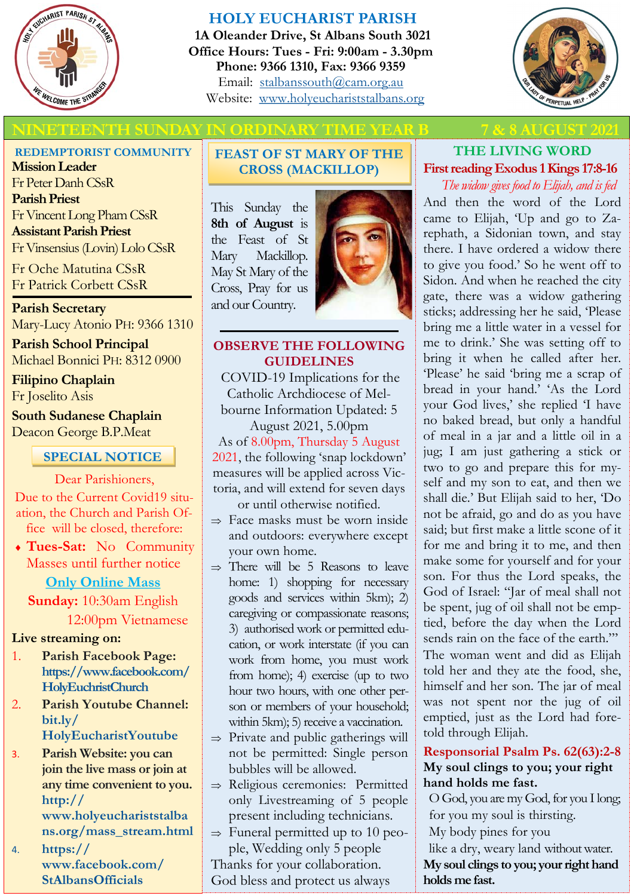

## **HOLY EUCHARIST PARISH**

**1A Oleander Drive, St Albans South 3021 Office Hours: Tues - Fri: 9:00am - 3.30pm Phone: 9366 1310, Fax: 9366 9359** Email: [stalbanssouth@cam.org.au](mailto:stalbanssouth@cam.org.au) Website:[www.holyeuchariststalbans.org](http://www.holyeuchariststalbans.org)



# **ETEENTH SUNDAY IN ORDINARY TIME YEAR B**

### **REDEMPTORIST COMMUNITY**

**Mission Leader** Fr Peter Danh CSsR **Parish Priest** Fr Vincent Long Pham CSsR **Assistant Parish Priest**  Fr Vinsensius (Lovin) Lolo CSsR

Fr Oche Matutina CSsR Fr Patrick Corbett CSsR

**Parish Secretary** Mary-Lucy Atonio PH: 9366 1310

**Parish School Principal** Michael Bonnici PH: 8312 0900

**Filipino Chaplain** Fr Joselito Asis

**South Sudanese Chaplain** Deacon George B.P.Meat

## **SPECIAL NOTICE**

### Dear Parishioners,

Due to the Current Covid19 situation, the Church and Parish Office will be closed, therefore:

 **Tues-Sat:** No Community Masses until further notice

**Only Online Mass**

**Sunday:** 10:30am English 12:00pm Vietnamese

## **Live streaming on:**

- 1. **Parish Facebook Page: [https://www.facebook.com/](https://www.facebook.com/HolyEuchristChurch/?__tn__=K-R&eid=ARBM1QrYxFY6RPMk7pERebh2rQRHf74BlaLd1VcjGGtCaP9p84rIk0c98hlhTEr82Q8jETXCJzOvL0kn&fref=mentions&__xts__%5B0%5D=68.ARBnHs6a1u-PF7J9Jcl_gNh_UT2uNyd1RzKvVIxqP8JzHkM3mTr_xfPeZKpg_v-bgja9SqrtiUyctIDnpdXH1N) [HolyEuchristChurch](https://www.facebook.com/HolyEuchristChurch/?__tn__=K-R&eid=ARBM1QrYxFY6RPMk7pERebh2rQRHf74BlaLd1VcjGGtCaP9p84rIk0c98hlhTEr82Q8jETXCJzOvL0kn&fref=mentions&__xts__%5B0%5D=68.ARBnHs6a1u-PF7J9Jcl_gNh_UT2uNyd1RzKvVIxqP8JzHkM3mTr_xfPeZKpg_v-bgja9SqrtiUyctIDnpdXH1N)**
- 2. **Parish Youtube Channel: [bit.ly/](https://l.facebook.com/l.php?u=https%3A%2F%2Fbit.ly%2FHolyEucharistYoutube%3Ffbclid%3DIwAR1cGDfikzYYKJZ4dYLy-9rZhJ7KsRBJONaEedDSgkMRNh6TobJ8QUU4yeQ&h=AT0MTGTPajxp8qiWg-vh0o_edX_2SfHvTlywmwjyBRAEyuwRvvoZiBjaPOpf0K_qzP_AOcFh7amNGz1-vsteTHW96AN6EjapGtwtWhmuoQDjs) [HolyEucharistYoutube](https://l.facebook.com/l.php?u=https%3A%2F%2Fbit.ly%2FHolyEucharistYoutube%3Ffbclid%3DIwAR1cGDfikzYYKJZ4dYLy-9rZhJ7KsRBJONaEedDSgkMRNh6TobJ8QUU4yeQ&h=AT0MTGTPajxp8qiWg-vh0o_edX_2SfHvTlywmwjyBRAEyuwRvvoZiBjaPOpf0K_qzP_AOcFh7amNGz1-vsteTHW96AN6EjapGtwtWhmuoQDjs)**
- 3. **Parish Website: you can join the live mass or join at any time convenient to you. [http://](http://www.holyeuchariststalbans.org/mass_stream.html)**

**[www.holyeuchariststalba](http://www.holyeuchariststalbans.org/mass_stream.html) [ns.org/mass\\_stream.html](http://www.holyeuchariststalbans.org/mass_stream.html)**

4. **https:// www.facebook.com/ StAlbansOfficials**

## **FEAST OF ST MARY OF THE CROSS (MACKILLOP)**

This Sunday the **8th of August** is the Feast of St Mary Mackillop. May St Mary of the Cross, Pray for us and our Country.



### **OBSERVE THE FOLLOWING GUIDELINES**

COVID-19 Implications for the Catholic Archdiocese of Melbourne Information Updated: 5

August 2021, 5.00pm As of 8.00pm, Thursday 5 August 2021, the following 'snap lockdown' measures will be applied across Victoria, and will extend for seven days or until otherwise notified.

- $\Rightarrow$  Face masks must be worn inside and outdoors: everywhere except your own home.
- $\Rightarrow$  There will be 5 Reasons to leave home: 1) shopping for necessary goods and services within 5km); 2) caregiving or compassionate reasons; 3) authorised work or permitted education, or work interstate (if you can work from home, you must work from home); 4) exercise (up to two hour two hours, with one other person or members of your household; within 5km); 5) receive a vaccination.
- $\Rightarrow$  Private and public gatherings will not be permitted: Single person bubbles will be allowed.
- $\Rightarrow$  Religious ceremonies: Permitted only Livestreaming of 5 people present including technicians.
- $\Rightarrow$  Funeral permitted up to 10 people, Wedding only 5 people

Thanks for your collaboration. God bless and protect us always

# **THE LIVING WORD First reading Exodus 1 Kings 17:8-16**

*The widow gives food to Elijah, and is fed* And then the word of the Lord came to Elijah, 'Up and go to Zarephath, a Sidonian town, and stay there. I have ordered a widow there to give you food.' So he went off to Sidon. And when he reached the city gate, there was a widow gathering sticks; addressing her he said, 'Please bring me a little water in a vessel for me to drink.' She was setting off to bring it when he called after her. 'Please' he said 'bring me a scrap of bread in your hand.' 'As the Lord your God lives,' she replied 'I have no baked bread, but only a handful of meal in a jar and a little oil in a jug; I am just gathering a stick or two to go and prepare this for myself and my son to eat, and then we shall die.' But Elijah said to her, 'Do not be afraid, go and do as you have said; but first make a little scone of it for me and bring it to me, and then make some for yourself and for your son. For thus the Lord speaks, the God of Israel: "Jar of meal shall not be spent, jug of oil shall not be emptied, before the day when the Lord sends rain on the face of the earth."' The woman went and did as Elijah told her and they ate the food, she, himself and her son. The jar of meal was not spent nor the jug of oil emptied, just as the Lord had foretold through Elijah.

### **Responsorial Psalm Ps. 62(63):2-8 My soul clings to you; your right hand holds me fast.**

O God, you are my God, for you I long; for you my soul is thirsting. My body pines for you like a dry, weary land without water. **My soul clings to you; your right hand holds me fast.**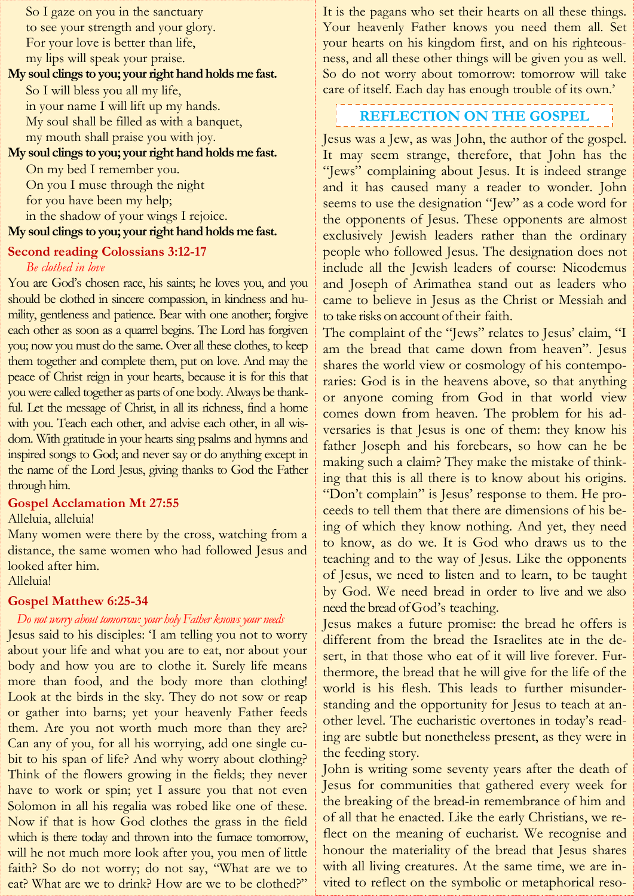So I gaze on you in the sanctuary to see your strength and your glory. For your love is better than life, my lips will speak your praise.

#### **My soul clings to you; your right hand holds me fast.**

So I will bless you all my life, in your name I will lift up my hands. My soul shall be filled as with a banquet, my mouth shall praise you with joy.

#### **My soul clings to you; your right hand holds me fast.**

On my bed I remember you. On you I muse through the night for you have been my help; in the shadow of your wings I rejoice. **My soul clings to you; your right hand holds me fast.**

#### **Second reading Colossians 3:12-17**

#### *Be clothed in love*

You are God's chosen race, his saints; he loves you, and you should be clothed in sincere compassion, in kindness and humility, gentleness and patience. Bear with one another; forgive each other as soon as a quarrel begins. The Lord has forgiven you; now you must do the same. Over all these clothes, to keep them together and complete them, put on love. And may the peace of Christ reign in your hearts, because it is for this that you were called together as parts of one body. Always be thankful. Let the message of Christ, in all its richness, find a home with you. Teach each other, and advise each other, in all wisdom. With gratitude in your hearts sing psalms and hymns and inspired songs to God; and never say or do anything except in the name of the Lord Jesus, giving thanks to God the Father through him.

#### **Gospel Acclamation Mt 27:55**

#### Alleluia, alleluia!

Many women were there by the cross, watching from a distance, the same women who had followed Jesus and looked after him.

#### Alleluia!

#### **Gospel Matthew 6:25-34**

#### *Do not worry about tomorrow: your holy Father knows your needs*

Jesus said to his disciples: 'I am telling you not to worry about your life and what you are to eat, nor about your body and how you are to clothe it. Surely life means more than food, and the body more than clothing! Look at the birds in the sky. They do not sow or reap or gather into barns; yet your heavenly Father feeds them. Are you not worth much more than they are? Can any of you, for all his worrying, add one single cubit to his span of life? And why worry about clothing? Think of the flowers growing in the fields; they never have to work or spin; yet I assure you that not even Solomon in all his regalia was robed like one of these. Now if that is how God clothes the grass in the field which is there today and thrown into the furnace tomorrow, will he not much more look after you, you men of little faith? So do not worry; do not say, "What are we to eat? What are we to drink? How are we to be clothed?"

It is the pagans who set their hearts on all these things. Your heavenly Father knows you need them all. Set your hearts on his kingdom first, and on his righteousness, and all these other things will be given you as well. So do not worry about tomorrow: tomorrow will take care of itself. Each day has enough trouble of its own.'

#### ------------------------------**REFLECTION ON THE GOSPEL**

Jesus was a Jew, as was John, the author of the gospel. It may seem strange, therefore, that John has the "Jews" complaining about Jesus. It is indeed strange and it has caused many a reader to wonder. John seems to use the designation "Jew" as a code word for the opponents of Jesus. These opponents are almost exclusively Jewish leaders rather than the ordinary people who followed Jesus. The designation does not include all the Jewish leaders of course: Nicodemus and Joseph of Arimathea stand out as leaders who came to believe in Jesus as the Christ or Messiah and to take risks on account of their faith.

The complaint of the "Jews" relates to Jesus' claim, "I am the bread that came down from heaven". Jesus shares the world view or cosmology of his contemporaries: God is in the heavens above, so that anything or anyone coming from God in that world view comes down from heaven. The problem for his adversaries is that Jesus is one of them: they know his father Joseph and his forebears, so how can he be making such a claim? They make the mistake of thinking that this is all there is to know about his origins. "Don't complain" is Jesus' response to them. He proceeds to tell them that there are dimensions of his being of which they know nothing. And yet, they need to know, as do we. It is God who draws us to the teaching and to the way of Jesus. Like the opponents of Jesus, we need to listen and to learn, to be taught by God. We need bread in order to live and we also need the bread of God's teaching.

Jesus makes a future promise: the bread he offers is different from the bread the Israelites ate in the desert, in that those who eat of it will live forever. Furthermore, the bread that he will give for the life of the world is his flesh. This leads to further misunderstanding and the opportunity for Jesus to teach at another level. The eucharistic overtones in today's reading are subtle but nonetheless present, as they were in the feeding story.

John is writing some seventy years after the death of Jesus for communities that gathered every week for the breaking of the bread-in remembrance of him and of all that he enacted. Like the early Christians, we reflect on the meaning of eucharist. We recognise and honour the materiality of the bread that Jesus shares with all living creatures. At the same time, we are invited to reflect on the symbolic or metaphorical reso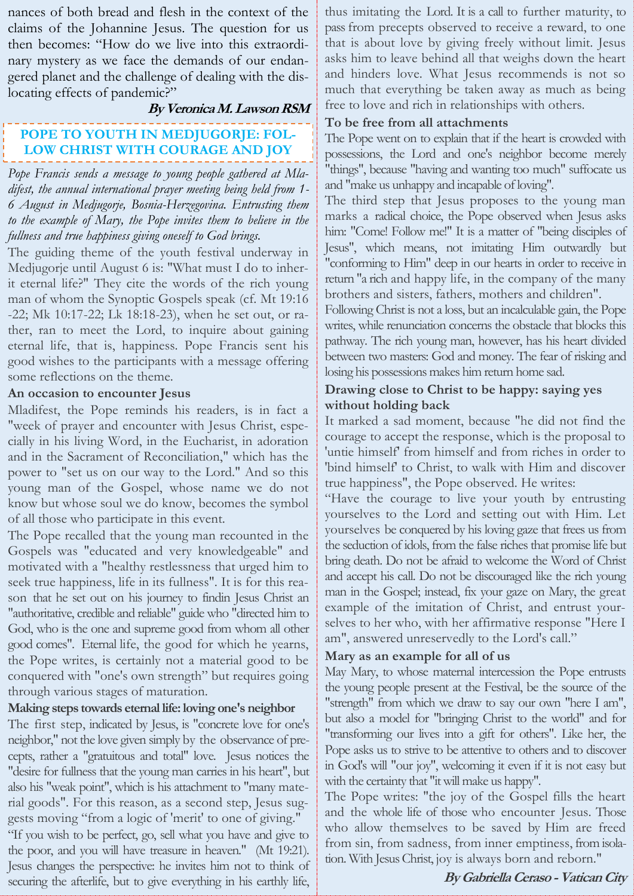nances of both bread and flesh in the context of the claims of the Johannine Jesus. The question for us then becomes: "How do we live into this extraordinary mystery as we face the demands of our endangered planet and the challenge of dealing with the dislocating effects of pandemic?"

#### **By Veronica M. Lawson RSM**

# **POPE TO YOUTH IN MEDJUGORJE: FOL-LOW CHRIST WITH COURAGE AND JOY**

*Pope Francis sends a message to young people gathered at Mladifest, the annual international prayer meeting being held from 1- 6 August in Medjugorje, Bosnia-Herzegovina. Entrusting them to the example of Mary, the Pope invites them to believe in the fullness and true happiness giving oneself to God brings.*

The guiding theme of the youth festival underway in Medjugorje until August 6 is: "What must I do to inherit eternal life?" They cite the words of the rich young man of whom the Synoptic Gospels speak (cf. Mt 19:16 -22; Mk 10:17-22; Lk 18:18-23), when he set out, or rather, ran to meet the Lord, to inquire about gaining eternal life, that is, happiness. Pope Francis sent his good wishes to the participants with a message offering some reflections on the theme.

### **An occasion to encounter Jesus**

Mladifest, the Pope reminds his readers, is in fact a "week of prayer and encounter with Jesus Christ, especially in his living Word, in the Eucharist, in adoration and in the Sacrament of Reconciliation," which has the power to "set us on our way to the Lord." And so this young man of the Gospel, whose name we do not know but whose soul we do know, becomes the symbol of all those who participate in this event.

The Pope recalled that the young man recounted in the Gospels was "educated and very knowledgeable" and motivated with a "healthy restlessness that urged him to seek true happiness, life in its fullness". It is for this reason that he set out on his journey to findin Jesus Christ an "authoritative, credible and reliable" guide who "directed him to God, who is the one and supreme good from whom all other good comes". Eternal life, the good for which he yearns, the Pope writes, is certainly not a material good to be conquered with "one's own strength" but requires going through various stages of maturation.

### **Making steps towards eternal life: loving one's neighbor**

The first step, indicated by Jesus, is "concrete love for one's neighbor," not the love given simply by the observance of precepts, rather a "gratuitous and total" love. Jesus notices the "desire for fullness that the young man carries in his heart", but also his "weak point", which is his attachment to "many material goods". For this reason, as a second step, Jesus suggests moving "from a logic of 'merit' to one of giving."

"If you wish to be perfect, go, sell what you have and give to the poor, and you will have treasure in heaven." (Mt 19:21). Jesus changes the perspective: he invites him not to think of securing the afterlife, but to give everything in his earthly life, thus imitating the Lord. It is a call to further maturity, to pass from precepts observed to receive a reward, to one that is about love by giving freely without limit. Jesus asks him to leave behind all that weighs down the heart and hinders love. What Jesus recommends is not so much that everything be taken away as much as being free to love and rich in relationships with others.

### **To be free from all attachments**

The Pope went on to explain that if the heart is crowded with possessions, the Lord and one's neighbor become merely "things", because "having and wanting too much" suffocate us and "make us unhappy and incapable of loving".

The third step that Jesus proposes to the young man marks a radical choice, the Pope observed when Jesus asks him: "Come! Follow me!" It is a matter of "being disciples of Jesus", which means, not imitating Him outwardly but "conforming to Him" deep in our hearts in order to receive in return "a rich and happy life, in the company of the many brothers and sisters, fathers, mothers and children".

Following Christ is not a loss, but an incalculable gain, the Pope writes, while renunciation concerns the obstacle that blocks this pathway. The rich young man, however, has his heart divided between two masters: God and money. The fear of risking and losing his possessions makes him return home sad.

### **Drawing close to Christ to be happy: saying yes without holding back**

It marked a sad moment, because "he did not find the courage to accept the response, which is the proposal to 'untie himself' from himself and from riches in order to 'bind himself' to Christ, to walk with Him and discover true happiness", the Pope observed. He writes:

"Have the courage to live your youth by entrusting yourselves to the Lord and setting out with Him. Let yourselves be conquered by his loving gaze that frees us from the seduction of idols, from the false riches that promise life but bring death. Do not be afraid to welcome the Word of Christ and accept his call. Do not be discouraged like the rich young man in the Gospel; instead, fix your gaze on Mary, the great example of the imitation of Christ, and entrust yourselves to her who, with her affirmative response "Here I am", answered unreservedly to the Lord's call."

### **Mary as an example for all of us**

May Mary, to whose maternal intercession the Pope entrusts the young people present at the Festival, be the source of the "strength" from which we draw to say our own "here I am", but also a model for "bringing Christ to the world" and for "transforming our lives into a gift for others". Like her, the Pope asks us to strive to be attentive to others and to discover in God's will "our joy", welcoming it even if it is not easy but with the certainty that "it will make us happy".

The Pope writes: "the joy of the Gospel fills the heart and the whole life of those who encounter Jesus. Those who allow themselves to be saved by Him are freed from sin, from sadness, from inner emptiness, from isolation. With Jesus Christ, joy is always born and reborn."

#### **By Gabriella Ceraso - Vatican City**